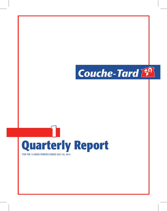



FOR THE 12-WEEK PERIODS ENDED JULY 20, 2014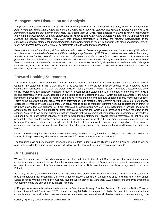# **Management's Discussion and Analysis**

*The purpose of this Management's Discussion and Analysis ("MD&A") is, as required by regulators, to explain management's point of view on Alimentation Couche-Tard Inc.'s ("Couche-Tard") financial condition and results of operations as well as its performance during the first quarter of the fiscal year ending April 26, 2015. More specifically, it aims to let the reader better understand our development strategy, performance in relation to objectives, future expectations and how we address risk and manage our financial resources. This MD&A also provides information to improve the reader's understanding of the consolidated financial statements and related notes. It should therefore be read in conjunction with those documents. By "we", "our", "us" and "the Corporation", we refer collectively to Couche-Tard and its subsidiaries.*

*Except where otherwise indicated, all financial information reflected herein is expressed in United States dollars ("US dollars") and determined on the basis of International Financial Reporting Standards ("IFRS") as issued by the International Accounting Standards Board ("IASB"). We also use measures in this MD&A that do not comply with IFRS. When such measures are presented, they are defined and the reader is informed. This MD&A should be read in conjunction with the annual consolidated financial statements and related notes included in our 2014 Annual Report, which, along with additional information relating to Couche-Tard, including the most recent Annual Information Form, is available on SEDAR at www.sedar.com and on our website at http://corpo.couche-tard.com.*

# **Forward-Looking Statements**

This MD&A includes certain statements that are "forward-looking statements" within the meaning of the securities laws of Canada. Any statement in this MD&A that is not a statement of historical fact may be deemed to be a forward-looking statement. When used in this MD&A, the words "believe", "could", "should", "intend", "expect", "estimate", "assume" and other similar expressions are generally intended to identify forward-looking statements. It is important to know that the forwardlooking statements in this MD&A describe our expectations as at September 3, 2014, which are not guarantees of the future performance of Couche-Tard or its industry, and involve known and unknown risks and uncertainties that may cause Couche-Tard's or the industry's outlook, actual results or performance to be materially different from any future results or performance expressed or implied by such statements. Our actual results could be materially different from our expectations if known or unknown risks affect our business, or if our estimates or assumptions turn out to be inaccurate. A change affecting an assumption can also have an impact on other interrelated assumptions, which could increase or diminish the effect of the change. As a result, we cannot guarantee that any forward-looking statement will materialize and, accordingly, the reader is cautioned not to place undue reliance on these forward-looking statements. Forward-looking statements do not take into account the effect that transactions or special items announced or occurring after the statements are made may have on our business. For example, they do not include the effect of sales of assets, monetization, mergers, acquisitions, other business combinations or transactions, asset write-downs or other charges announced or occurring after forward-looking statements are made.

Unless otherwise required by applicable securities laws, we disclaim any intention or obligation to update or revise the forward-looking statements, whether as a result of new information, future events or otherwise.

The foregoing risks and uncertainties include the risks set forth under "Business Risks" in our 2014 Annual Report as well as other risks detailed from time to time in reports filed by Couche-Tard with securities regulators in Canada.

# **Our Business**

We are the leader in the Canadian convenience store industry. In the United States, we are the largest independent convenience store operator in terms of number of company-operated stores. In Europe, we are a leader in convenience store and road transportation fuel in Scandinavian countries and in the Baltic countries while we have a significant presence in Poland.

As of July 20, 2014, our network comprises 6,243 convenience stores throughout North America, including 4,478 stores with road transportation fuel dispensing. Our North-American network consists of 13 business units, including nine in the United States covering 40 states and four in Canada covering all ten provinces. More than 60,000 people are employed throughout our network and at the service offices in North America.

In Europe, we operate a broad retail network across Scandinavia (Norway, Sweden, Denmark), Poland, the Baltics (Estonia, Latvia, Lithuania) and Russia with 2,250 stores as at July 20, 2014, the majority of which offer road transportation fuel and convenience products while the others are unmanned automated service-stations which offer road transportation fuel only. We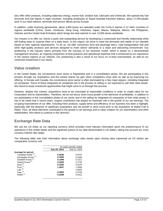also offer other products, including stationary energy, marine fuel, aviation fuel, lubricants and chemicals. We operate key fuel terminals and fuel depots in eight countries. Including employees at Statoil branded franchise stations, about 17,500 people work in our retail network, terminals and service offices across Europe.

In addition, under licensing agreements, about 4,600 stores are operated under the Circle K banner in 12 other countries or regions worldwide (China, Guam, Honduras, Hong Kong, Indonesia, Japan, Macau, Malaysia, Mexico, the Philippines, Vietnam and the United Arab Emirates) which brings the total network to over 13,000 stores worldwide..

Our mission is to offer our clients a quick and outstanding service by developing a customized and friendly relationship while still finding ways to surprise them on a daily basis. In this regard, we strive to meet the demands and needs of our clientele based on their regional requirements. To do so, we offer consumers food and beverage items, road transportation fuel and other high-quality products and services designed to meet clients' demands in a clean and welcoming environment. Our positioning in the industry stems primarily from the success of our business model, which is based on a decentralized management structure, an ongoing comparison of best practices and operational expertise that is enhanced by our experience in the various regions of our network. Our positioning is also a result of our focus on in-store merchandise, as well as our continued investments in our stores.

## **Value creation**

In the United States, the convenience store sector is fragmented and in a consolidation phase. We are participating in this process through our acquisitions and the market shares we gain when competitors close sites as well as by improving our offering. In Europe and Canada, the convenience store sector is often dominated by a few major players, including integrated oil companies. Some of these integrated oil companies are in the process of selling or are expected to sell their retail assets. We intend to study investment opportunities that might come to us through this process.

However, despite this context, acquisitions have to be concluded at reasonable conditions in order to create value for our Corporation and its shareholders. Therefore, we do not favour store count growth to the detriment of profitability. In addition to our participation in the consolidation phase of our sector and in the selling by integrated oil companies of their retail assets, it has to be noted that in recent years, organic contribution has played an important role in the growth of our net earnings. The on-going improvement of our offer, including fresh products, supply terms and efficiency of our business has been a highlight, especially with the absence of significant acquisitions and net growth in store count prior to the acquisition of Statoil Fuel & Retail. Thus, all these elements contributed to the growth in net earnings and to value creation for our shareholders and other stakeholders. We intend to continue in this direction.

# **Exchange Rate Data**

We use the US dollar as our reporting currency which provides more relevant information given the predominance of our operations in the United States and the significant portion of our debt denominated in US dollars, taking into account our cross currency interest rate swaps.

The following table sets forth information about exchange rates based upon closing rates expressed as US dollars per comparative currency unit:

|                                | 12-week periods ended                 |        |  |  |  |  |
|--------------------------------|---------------------------------------|--------|--|--|--|--|
|                                | July 21, 2013<br><b>July 20, 2014</b> |        |  |  |  |  |
| Average for period             |                                       |        |  |  |  |  |
| Canadian Dollar <sup>(1)</sup> | 0.9236                                | 0.9707 |  |  |  |  |
| Norwegian Krone <sup>(2)</sup> | 0.1656                                | 0.1693 |  |  |  |  |
| Swedish Krone <sup>(2)</sup>   | 0.1499                                | 0.1511 |  |  |  |  |
| Danish Krone <sup>(2)</sup>    | 0.1829                                | 0.1752 |  |  |  |  |
| Zloty $^{(2)}$                 | 0.3285                                | 0.3076 |  |  |  |  |
| Euro $^{(2)}$                  | 1.3647                                | 1.3060 |  |  |  |  |
| Lats $(3)$                     |                                       | 1.8625 |  |  |  |  |
| Litas $(2)$                    | 0.3955                                | 0.3783 |  |  |  |  |
| Ruble $(2)$                    | 0.0289                                | 0.0312 |  |  |  |  |
|                                |                                       |        |  |  |  |  |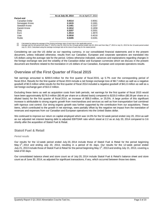|                 | As at July 20, 2014 | As at April 27, 2014 |
|-----------------|---------------------|----------------------|
| Period end      |                     |                      |
| Canadian Dollar | 0.9314              | 0.9061               |
| Norwegian Krone | 0.1615              | 0.1681               |
| Swedish Krone   | 0.1461              | 0.1537               |
| Danish Krone    | 0.1812              | 0.1858               |
| Zloty           | 0.3257              | 0.3301               |
| Euro            | 1.3514              | 1.3870               |
| Litas           | 0.3918              | 0.4018               |
| Ruble           | 0.0285              | 0.0281               |
|                 |                     |                      |

Considering we use the US dollar as our reporting currency, in our consolidated financial statements and in the present document, unless indicated otherwise, results from our Canadian, European and corporate operations are translated into US dollars using the average rate for the period. Unless otherwise indicated, variances and explanations regarding changes in the foreign exchange rate and the volatility of the Canadian dollar and European currencies which we discuss in the present document are therefore related to the translation in US dollars of our Canadian, European and corporate operations results.

# **Overview of the First Quarter of Fiscal 2015**

Net earnings amounted to \$269.5 million for the first quarter of fiscal 2015, up 5.7% over the corresponding period of fiscal 2014. Results for the first quarter of fiscal 2015 include a net foreign exchange loss of \$8.7 million as well as a negative goodwill of \$0.5 million while results for the first quarter of fiscal 2014 included a negative goodwill of \$41.6 million as well as a net foreign exchange gain of \$13.2 million.

Excluding these items as well as acquisition costs from both periods, net earnings for the first quarter of fiscal 2015 would have been approximately \$276.0 million (\$0.48 per share on a diluted basis) compared to \$220.0 million (\$0.39 per share on a diluted basis) for the first quarter of fiscal 2014, an increase of \$56.0 million, or 25.5%. A large portion of this significant increase is attributable to strong organic growth from merchandises and services as well as from transportation fuel combined with rigorous cost control. Our strong organic growth was further supported by the contribution from our acquisitions. These items, which contributed to the growth in net earnings, were partially offset by the negative net impact from the translation of revenues and expenses from our Canadian and European operations into the United States dollar.

We continued to improve our return on capital employed which was 14.0% for the 52-week period ended July 20, 2014 as well as our adjusted net interest bearing debt to adjusted EBITDAR ratio which stood at 2.2 as at July 20, 2014 compared to 3.6 shortly after the acquisition of Statoil Fuel & Retail.

### **Statoil Fuel & Retail**

### *Period results*

Our results for the 12-week period ended July 20, 2014 include those of Statoil Fuel & Retail for the period beginning May 1<sup>st</sup>, 2014 and ending July 20, 2014, resulting in a period of 81 days. Our results for the 12-week period ended July 21, 2013 include those of Statoil Fuel & Retail for the period beginning May 1<sup>st</sup>, 2013 and ending July 21, 2013, covering a total of 82 days.

Our consolidated balance sheet and store count as of July 20, 2014 include Statoil Fuel & Retail's balance sheet and store count as of June 30, 2014, as adjusted for significant transactions, if any, which occurred between those two dates.

<sup>(1)</sup> Calculated by taking the average of the closing exchange rates of each day in the applicable period.<br>(2) Average rate for the period from May 1<sup>st</sup>, 2014 to July 20, 2014 for the 12-week period ended July 20, 2014 and July 21, 2013. Calculated using the average exchange rate at the close of each day for the stated period.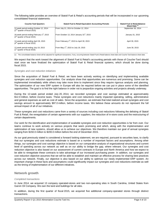The following table provides an overview of Statoil Fuel & Retail's accounting periods that will be incorporated in our upcoming consolidated financial statements:

| <b>Couche-Tard Quarters</b>                                                             | Statoil Fuel & Retail Equivalent Accounting Periods    | <b>Statoil Fuel &amp; Retail Balance</b><br>Sheet Date <sup>(1)</sup> |
|-----------------------------------------------------------------------------------------|--------------------------------------------------------|-----------------------------------------------------------------------|
| 12-week period ending October 12, 2014<br>$(2nd$ quarter of fiscal 2015)                | From July 21, 2014 to October 12, 2014                 | September 30, 2014                                                    |
| 16-week period ending February 1 <sup>st</sup> , 2015<br>$(3rd$ quarter of fiscal 2015) | From October 13, 2014 January 31 <sup>st</sup> , 2015  | January 31, 2015                                                      |
| 12-week period ending April 26, 2015<br>$(4th$ quarter of fiscal 2015)                  | From February 1 <sup>st</sup> , 2015 to April 30, 2015 | April 30, 2015                                                        |
| 12-week period ending July 19, 2015<br>$(1st$ quarter of fiscal 2016)                   | From May 1 <sup>st</sup> , 2015 to July 19, 2015       | June 30, 2015                                                         |

(1) The consolidated balance sheet will be adjusted for significant transactions, if any, occurring between Statoil Fuel & Retail balance sheet date and Couche-Tard balance sheet date.

We expect that the work toward the alignment of Statoil Fuel & Retail's accounting periods with those of Couche-Tard should start once we have finalized the optimization of Statoil Fuel & Retail financial systems, which should be done during fiscal 2015.

#### *Synergies and cost reduction initiatives*

Since the acquisition of Statoil Fuel & Retail, we have been actively working on identifying and implementing available synergies and cost reduction opportunities. Our analysis show that opportunities are numerous and promising. Some can be implemented immediately while others may take more time to implement since they require rigorous analysis and planning. The optimization of our new ERP system in Europe will also be required before we can put in place some of the identified opportunities. The goal is to find the right balance in order not to jeopardize ongoing activities and projects already underway.

During the 12-week period ended July 20, 2014, we recorded synergies and cost savings estimated at approximately \$12.0 million, before income taxes. These synergies and cost reductions mainly impacted operating, selling, administrative and general expenses as well as cost of sales. Since the acquisition, we estimate that total realized annual synergies and cost savings amount to approximately \$97.0 million, before income taxes. We believe these amounts do not represent the full annual impact of all of our initiatives.

These synergies and cost reductions came from a variety of sources including cost reductions following the delisting of Statoil Fuel & Retail, the renegotiation of certain agreements with our suppliers, the reduction of in-store costs and the restructuring of certain departments.

Our work for the identification and implementation of available synergies and cost reduction opportunities is far from over. Our teams continue to work actively on various projects that seem promising and which, along with the implementation and optimization of new systems, should allow us to achieve our objectives. We therefore maintain our goal of annual synergies ranging from \$150.0 million to \$200.0 million before the end of December 2015.

As our goal previously stated is considered a forward looking statement, we are required, pursuant to securities laws, to clarify that our synergies and cost reductions estimate is based on a number of important factors and assumptions. Among other things, our synergies and cost savings objective is based on our comparative analysis of organizational structures and current level of spending across our network as well as on our ability to bridge the gap, where relevant. Our synergies and cost reduction objective is also based on our assessment of current contracts in Europe and North America and how we expect to be able to renegotiate these contracts to take advantage of our increased purchasing power. In addition, our synergies and cost reduction objective assumes that we will be able to establish and maintain an effective process for sharing best practices across our network. Finally, our objective is also based on our ability to optimize our newly implemented ERP system. An important change in these facts and assumptions could significantly impact our synergies and cost reductions estimate as well as the timing of implementation of our different initiatives.

### **Network growth**

#### *Completed transactions*

In June 2014, we acquired 13 company operated-stores and two non-operating sites in South Carolina, United States from Garvin Oil Company. We own the land and buildings for all sites.

In addition, during the first quarter of fiscal 2015, we acquired five additional company-operated stores through distinct transactions.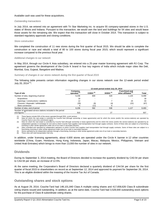### Available cash was used for these acquisitions.

#### *Outstanding transactions*

In July 2014, we entered into an agreement with Tri Star Marketing inc. to acquire 55 company-operated stores in the U.S. states of Illinois and Indiana. Pursuant to this transaction, we would own the land and buildings for 54 sites and would lease those assets for the remaining site. We expect that this transaction will close in October 2014. This transaction is subject to standard regulatory approvals and closing conditions.

#### *Store construction*

We completed the construction of 11 new stores during the first quarter of fiscal 2015. We should be able to complete the construction or raze and rebuild a total of 80 to 100 stores during fiscal year 2015, which would represent a significant increase compared to the previous fiscal year.

#### *Additional changes to our network*

In May 2014, through our Circle K Asia subsidiary, we entered into a 25-year master licensing agreement with RJ Corp. The agreement governs the development of the Circle K brand in four key regions of India which include major cities like Deli, Mumbai, Goa, Gujarat, Bangalore and Madras.

#### *Summary of changes in our stores network during the first quarter of fiscal 2015*

The following table presents certain information regarding changes in our stores network over the 12-week period ended July 20, 2014 $(1)$ :

|                                                                                           | 12-week period ended July 20, 2014  |            |            |                                               |              |  |  |  |
|-------------------------------------------------------------------------------------------|-------------------------------------|------------|------------|-----------------------------------------------|--------------|--|--|--|
| <b>Type of site</b>                                                                       | Company-<br>operated <sup>(2)</sup> | CODO $(3)$ | DODO $(4)$ | <b>Franchised and</b><br>other affiliated (b) | <b>Total</b> |  |  |  |
| Number of sites, beginning of period                                                      | 6.236                               | 609        | 529        | 1.125                                         | 8,499        |  |  |  |
| Acquisitions                                                                              | 18                                  |            |            |                                               | 18           |  |  |  |
| Openings / constructions / additions                                                      | 12                                  |            |            | 24                                            | 43           |  |  |  |
| Closures / disposals / withdrawals                                                        | (35)                                | (6)        | (4)        | (22)                                          | (67)         |  |  |  |
| Store conversion                                                                          | b                                   | (11)       |            |                                               |              |  |  |  |
| Number of sites, end of period                                                            | 6.236                               | 592        | 538        | 1.127                                         | 8.493        |  |  |  |
| Number of automated service stations included in the period<br>end figures <sup>(6)</sup> | 910                                 |            | 27         |                                               | 937          |  |  |  |

These figures include 50% of the stores operated through RDK, a joint venture.

(2) Sites for which the real estate is controlled by Couche-Tard (through ownership or lease agreements) and for which the stores (and/or the service-stations) are operated by Couche-Tard or one of its commission agent.

Sites for which the real estate is controlled by Couche-Tard (through ownership or lease agreements) and for which the stores (and/or the service-stations) are operated by an independent operator in exchange for rent and to which Couche-Tard supplies road transportation fuel through supply contracts. Some of these sites are subject to a franchising, licensing or other similar agreement under one of our main or secondary banners.

(4) Sites controlled and operated by independent operators to which Couche-Tard supplies road transportation fuel through supply contracts. Some of these sites are subject to a franchising, licensing or other similar agreement under one of our main or secondary banners.

Stores operated by an independent operator through a franchising, licensing or other similar agreement under one of our main or secondary banners.

These sites sell road transportation fuel only

In addition, under licensing agreements, about 4,600 stores are operated under the Circle K banner in 12 other countries worldwide (China, Guam, Honduras, Hong Kong, Indonesia, Japan, Macau, Malaysia, Mexico, Philippines, Vietnam and United Arab Emirates) which brings to more than 13,000 the number of sites in our network.

### **Dividends**

During its September 3, 2014 meeting, the Board of Directors decided to increase the quarterly dividend by CA0.5¢ per share to CA4.5¢ per share, an increase of 12.5%.

At the same meeting, the Corporation's Board of Directors declared a quarterly dividend of CA4.5¢ per share for the first quarter of fiscal 2015 to shareholders on record as at September 12, 2014 and approved its payment for September 26, 2014. This is an eligible dividend within the meaning of the Income Tax Act of Canada.

### **Outstanding shares and stock options**

As at August 29, 2014, Couche-Tard had 148,101,840 Class A multiple voting shares and 417,658,626 Class B subordinate voting shares issued and outstanding. In addition, as at the same date, Couche-Tard had 3,528,640 outstanding stock options for the purchase of Class B subordinate voting shares.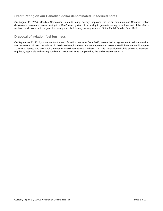### **Credit Rating on our Canadian dollar denominated unsecured notes**

On August 1<sup>st</sup>, 2014, Moody's Corporation, a credit rating agency, improved the credit rating on our Canadian dollar denominated unsecured notes, raising it to Baa2 in recognition of our ability to generate strong cash flows and of the efforts we have made to exceed our goal of reducing our debt following our acquisition of Statoil Fuel & Retail in June 2012.

### **Disposal of aviation fuel business**

On September 3<sup>rd</sup>, 2014, subsequent to the end of the first quarter of fiscal 2015, we reached an agreement to sell our aviation fuel business to Air BP. The sale would be done through a share purchase agreement pursuant to which Air BP would acquire 100% of all issued and outstanding shares of Statoil Fuel & Retail Aviation AS. This transaction which is subject to standard regulatory approvals and closing conditions is expected to be completed by the end of December 2014.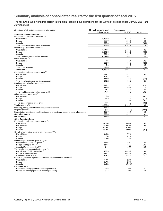# **Summary analysis of consolidated results for the first quarter of fiscal 2015**

The following table highlights certain information regarding our operations for the 12-week periods ended July 20, 2014 and July 21, 2013.

| (In millions of US dollars, unless otherwise stated)                                  | 12-week period ended<br>July 20, 2014 | 12-week period ended<br>July 21, 2013 | Variation %  |
|---------------------------------------------------------------------------------------|---------------------------------------|---------------------------------------|--------------|
| <b>Statement of Operations Data:</b>                                                  |                                       |                                       |              |
| Merchandise and service revenues (1):                                                 |                                       |                                       |              |
| <b>United States</b>                                                                  | 1,197.2                               | 1,153.7                               | 3.8          |
| Europe                                                                                | 258.3                                 | 248.5                                 | 3.9          |
| Canada                                                                                | 528.3                                 | 545.5                                 | (3.2)        |
| Total merchandise and service revenues                                                | 1,983.8                               | 1,947.7                               | 1.9          |
| Road transportation fuel revenues:                                                    |                                       |                                       |              |
| <b>United States</b>                                                                  | 3,915.5                               | 3,599.9                               | 8.8          |
| Europe                                                                                | 1,972.8                               | 2,052.1                               | (3.9)        |
| Canada                                                                                | 724.1                                 | 692.5                                 | 4.6          |
| Total road transportation fuel revenues                                               | 6,612.4                               | 6,344.5                               | 4.2          |
| Other revenues <sup>(2)</sup> :                                                       |                                       |                                       |              |
| <b>United States</b><br>Europe                                                        | 3.6<br>589.3                          | 2.4<br>606.5                          | 50.0         |
| Canada                                                                                | 0.1                                   | 0.1                                   | (2.8)<br>0.0 |
| Total other revenues                                                                  | 593.0                                 | 609.0                                 | (2.6)        |
| <b>Total revenues</b>                                                                 | 9,189.2                               | 8,901.2                               | 3.2          |
|                                                                                       |                                       |                                       |              |
| Merchandise and service gross profit (1):<br><b>United States</b>                     | 392.1                                 | 372.0                                 | 5.4          |
|                                                                                       | 108.1                                 | 101.0                                 | 7.0          |
| Europe<br>Canada                                                                      | 176.0                                 | 185.3                                 | (5.0)        |
|                                                                                       | 676.2                                 | 658.3                                 | 2.7          |
| Total merchandise and service gross profit<br>Road transportation fuel gross profit:  |                                       |                                       |              |
| <b>United States</b>                                                                  | 249.2                                 | 190.0                                 | 31.2         |
| Europe                                                                                | 224.6                                 | 209.1                                 | 7.4          |
| Canada                                                                                | 41.7                                  | 36.7                                  | 13.6         |
| Total road transportation fuel gross profit                                           | 515.5                                 | 435.8                                 | 18.3         |
| Other revenues gross profit <sup>(2)</sup> :                                          |                                       |                                       |              |
| <b>United States</b>                                                                  | 3.6                                   | 2.4                                   | 50.0         |
| Europe                                                                                | 84.9                                  | 86.4                                  | (1.7)        |
| Canada                                                                                | 0.1                                   | 0.1                                   | 0.0          |
| Total other revenues gross profit                                                     | 88.6                                  | 88.9                                  | (0.3)        |
| Total gross profit                                                                    | 1,280.3                               | 1,183.0                               | 8.2          |
| Operating, selling, administrative and general expenses                               | 788.8                                 | 781.2                                 | 1.0          |
| Negative goodwill                                                                     | (0.5)                                 | (41.6)                                | (98.8)       |
| Depreciation, amortization and impairment of property and equipment and other assets  | 126.7                                 | 125.9                                 | 0.6          |
| <b>Operating income</b>                                                               | 365.3                                 | 317.5                                 | 28.0         |
| Net earnings                                                                          | 269.5                                 | 255.0                                 | 5.7          |
| <b>Other Operating Data:</b>                                                          |                                       |                                       |              |
| Merchandise and service gross margin <sup>(1)</sup> :                                 |                                       |                                       |              |
| Consolidated                                                                          | 34.1%                                 | 33.8%                                 | 0.3          |
| <b>United States</b>                                                                  | 32.8%                                 | 32.2%                                 | 0.6          |
| Europe                                                                                | 41.9%                                 | 40.6%                                 | 1.3          |
| Canada                                                                                | 33.3%                                 | 34.0%                                 | (0.7)        |
| Growth of same-store merchandise revenues (3)(4):                                     |                                       |                                       |              |
| <b>United States</b>                                                                  | 2.8%                                  | 2.7%                                  |              |
| Europe                                                                                | 1.2%                                  | 1.9%                                  |              |
| Canada                                                                                | 3.3%                                  | 0.7%                                  |              |
| Road transportation fuel gross margin :                                               |                                       |                                       |              |
| United States (cents per gallon) <sup>(4)</sup>                                       | 23.08                                 | 19.42                                 | 18.8         |
| Europe (cents per litre) <sup>(5)</sup><br>Canada (CA cents per litre) <sup>(4)</sup> | 11.67                                 | 10.26                                 | 13.8         |
| Volume of road transportation fuel sold (5).                                          | 6.44                                  | 5.52                                  | 16.7         |
| United States (millions of gallons)                                                   | 1,103.5                               | 1,036.9                               | 6.4          |
| Europe (millions of litres)                                                           | 1,924.2                               | 2,038.1                               | (5.6)        |
| Canada (millions of litres)                                                           | 707.8                                 | 692.9                                 | 2.2          |
| Growth of (decrease in) same-store road transportation fuel volume (4):               |                                       |                                       |              |
| <b>United States</b>                                                                  | 1.8%                                  | 1.2%                                  |              |
| Europe                                                                                | 1.7%                                  | 1.8%                                  |              |
| Canada                                                                                | 0.3%                                  | (0.4%                                 |              |
| Per Share Data:                                                                       |                                       |                                       |              |
| Basic net earnings per share (dollars per share)                                      | 0.48                                  | 0.45                                  | 6.7          |
| Diluted net earnings per share (dollars per share)                                    | 0.47                                  | 0.45                                  | 4.4          |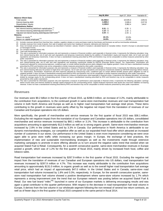|                                                                    | <b>July 20, 2014</b> | April 27, 2014 | Variation \$ |
|--------------------------------------------------------------------|----------------------|----------------|--------------|
| <b>Balance Sheet Data:</b>                                         |                      |                |              |
| Total assets                                                       | 10.438.6             | 10.545.0       | (106.4)      |
| Interest-bearing debt                                              | 2.469.4              | 2.606.4        | (137.0)      |
| Shareholders' equity                                               | 4.106.8              | 3.962.4        | 144.4        |
| <b>Indebtedness Ratios:</b>                                        |                      |                |              |
| Net interest-bearing debt/total capitalization <sup>(6)</sup>      | 0.31:1               | 0.35:1         |              |
| Net interest-bearing debt/Adjusted EBITDA <sup>(7)</sup>           | 1.12:1               | 1.32:1         |              |
| Adjusted net interest bearing debt/Adjusted EBITDAR <sup>(8)</sup> | 2.23:1               | 2.44:1         |              |
| <b>Returns:</b>                                                    |                      |                |              |
| Return on equity <sup>(9)</sup>                                    | 22.1%                | 22.6%          |              |
| Return on capital employed (10)                                    | 14.0%                | 13.3%          |              |

(1) Includes revenues derived from franchise fees, royalties, suppliers rebates on some purchases made by franchisees and licensees as well as merchandise wholesale.<br>(2) Includes revenues from rental of assets, from sale o

Includes revenues from rental of assets, from sale of aviation and marine fuel, heating oil, kerosene, lubricants and chemicals.

(3) Does not include services and other revenues (as described in footnote 1 above). Growth in Canada is calculated based on Canadian dollars. Growth in Europe is calculated based on Norwegian Krones.

(4) For company-operated stores only.

 $(5)$  Total road transportation fuel.<br> $(6)$  This ratio is presented for info

This ratio is presented for information purposes only and represents a measure of financial condition used especially in financial circles. It represents the following calculation: longterm interest-bearing debt, net of cash and cash equivalents and temporary investments divided by the addition of shareholders' equity and long-term debt, net of cash and cash equivalents and temporary investments. It does not have a standardized meaning prescribed by IFRS and therefore may not be comparable to similar measures presented by other

public corporations. (7) This ratio is presented for information purposes only and represents a measure of financial condition used especially in financial circles. It represents the following calculation: longterm interest-bearing debt, net of cash and cash equivalents and temporary investments divided by EBITDA (Earnings Before Interest, Tax, Depreciation, Amortization and Impairment) adjusted for restructuring expenses, curtailment gain on certain defined benefits pension plans obligation and negative goodwill. It does not have a standardized meaning prescribed by IFRS and therefore may not be comparable to similar measures presented by other public corporations.

(8) This ratio is presented for information purposes only and represents a measure of financial condition used especially in financial circles. It represents the following calculation: longterm interest-bearing debt plus the product of eight times rent expense, net of cash and cash equivalents and temporary investments divided by EBITDAR (Earnings Before Interest, Tax, Depreciation, Amortization, Impairment and Rent expense) adjusted for restructuring costs, curtailment gain on certain defined benefits pension plans obligation as well as negative goodwill. It does not have a standardized meaning prescribed by IFRS and therefore may not be comparable to similar measures presented by other public corporations.

This ratio is presented for information purposes only and represents a measure of performance used especially in financial circles. It represents the following calculation: net earnings divided by average equity for the corresponding period. It does not have a standardized meaning prescribed by IFRS and therefore may not be comparable to similar measures presented by other public corporations.

(10) This ratio is presented for information purposes only and represents a measure of performance used especially in financial circles. It represents the following calculation: earnings before income taxes and interests divided by average capital employed for the corresponding period. Capital employed represents total assets less short-term liabilities not bearing<br>interests. It does not have a standardize

### **Revenues**

Our revenues were \$9.2 billion in the first quarter of fiscal 2015, up \$288.0 million, an increase of 3.2%, mainly attributable to the contribution from acquisitions, to the continued growth in same-store merchandise revenues and road transportation fuel volume in both North America and Europe as well as to higher road transportation fuel average retail prices. These items contributing to the growth in revenues were partly offset by the negative net impact from the translation of revenues of our Canadian and European operations into US dollars.

More specifically, the growth of merchandise and service revenues for the first quarter of fiscal 2015 was \$36.1 million. Excluding the net negative impact from the translation of our European and Canadian operations into US dollars, consolidated merchandise and service revenues increased by \$60.1 million or 3.1%. This increase is attributable to the contribution from acquisitions amounting to approximately \$12.0 million as well as to strong organic growth. Same-store merchandise revenues increased by 2.8% in the United States and by 3.3% in Canada. Our performance in North America is attributable to our dynamic merchandising strategies, our competitive offer as well as our expanded fresh food offer which attracted an increased number of customers in our stores. Our performance in the United States is even more impressive considering we were once again able to grow store traffic while increasing our gross margin. In Europe, the exchange of best practices, the implementation of new and sustainable merchandising strategies as well as the investments made through extensive marketing campaigns to promote in-store offering allowed us to turn around the negative sales trend that existed when we acquired Statoil Fuel & Retail. Consequently, for a seventh consecutive quarter, same-store merchandise revenues in Europe posted a growth, which was of 1.2% for the first quarter of fiscal 2015, mainly driven by increased fresh food, coffee and tobacco sales.

Road transportation fuel revenues increased by \$267.9 million in the first quarter of fiscal 2015. Excluding the negative net impact from the translation of revenues of our Canadian and European operations into US dollars, road transportation fuel revenues increased by \$297.9 million or 4.7%. This increase was mainly attributable to the contribution from acquisitions amounting to approximately \$131.0 million, to organic growth as well as to the overall higher road transportation fuel average retail price, which had an impact of approximately \$47.0 million. In the United States and in Canada, same-store road transportation fuel volume increased by 1.8% and 0.3%, respectively. In Europe, for the seventh consecutive quarter, samestore road transportation fuel volume showed a positive development where same-store volume increased by 1.7% which represents a strong improvement over the trend that our European network was posting before we acquired Statoil Fuel & Retail. Our new fuel brand "*milesTM*" launched in some of our European markets is delivering encouraging results and was again a great contributor to this quarter performance. With respect to the decrease in road transportation fuel total volume in Europe, it derives from the lost volume in our wholesale segment following the non-renewal of several low return contracts, as well as of fewer days in the first quarter of fiscal 2015 compared to the same period in fiscal 2014.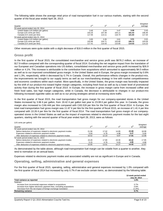The following table shows the average retail price of road transportation fuel in our various markets, starting with the second quarter of the fiscal year ended April 28, 2013:

| Quarter                               | $\sim$ <sup>nd</sup> | $\sim$ rd | th،<br>4 | ⊿st    | Weighted<br>average |
|---------------------------------------|----------------------|-----------|----------|--------|---------------------|
| 52-week period ended July 20, 2014    |                      |           |          |        |                     |
| United States (US dollars per gallon) | 3.45                 | 3.24      | 3.47     | 3.59   | 3.43                |
| Europe (US cents per litre)           | 103.25               | 107.49    | 104.11   | 101.53 | 106.46              |
| Canada (CA cents per litre)           | 117.05               | 113.11    | 118.74   | 121.64 | 117.34              |
| 52-week period ended July 21, 2013    |                      |           |          |        |                     |
| United States (US dollars per gallon) | 3.65                 | 3.35      | 3.61     | 3.51   | 3.52                |
| Europe (US cents per litre)           | 103.96               | 104.71    | 103.80   | 100.72 | 103.59              |
| Canada (CA cents per litre)           | 117.41               | 110.43    | 115.65   | 114.53 | 114.23              |

Other revenues were quite stable with a slight decrease of \$16.0 million in the first quarter of fiscal 2015.

### **Gross profit**

In the first quarter of fiscal 2015, the consolidated merchandise and service gross profit was \$676.2 million, an increase of \$17.9 million compared with the corresponding quarter of fiscal 2014. Excluding the net negative impact from the translation of our European and Canadian operations into US dollars, consolidated merchandise and service gross profit increased by \$26.9 million or 4.1%. This increase is attributable to the contribution from acquisitions which amounted to approximately \$4.0 million as well as to our improved consolidated gross margin. In the United States and in Europe, the gross margin increased by 0.6% and 1.3%, respectively, while it decreased by 0.7% in Canada. Overall, this performance reflects changes in the product-mix, the improvements we brought to our supply terms as well as our merchandising strategy in line with market competitiveness and economic conditions within each market. More specifically, in the United States, the gross margin was favorably impacted by the shift of our product-mix toward higher margin categories, including fresh food as well as by a lower level of promotional activity than during the first quarter of fiscal 2014. In Europe, the increase in gross margin came from increased coffee and fresh food sales, two high margin categories, while in Canada, the decrease is attributable to changes in our product-mix following increased cigarette sales as well as to our pricing strategies aimed at increasing store traffic.

In the first quarter of fiscal 2015, the road transportation fuel gross margin for our company-operated stores in the United States increased by 3.66  $\varphi$  per gallon, from 19.42  $\varphi$  per gallon last year to 23.08  $\varphi$  per gallon this year. In Canada, the gross margin also increased to CA6.44¢ per litre compared with CA5.52¢ per litre for the first quarter of fiscal 2014. In Europe, the total road transportation fuel gross margin was 11.67  $\phi$  per litre for the first quarter of fiscal 2015, an increase of 1.41  $\phi$  per litre compared with 10.26 ¢ per litre for the first quarter of fiscal 2014. The road transportation fuel gross margin of our companyoperated stores in the United States as well as the impact of expenses related to electronic payment modes for the last eight quarters, starting with the second quarter of fiscal year ended April 28, 2013, were as follows:

#### (US cents per gallon)

|                                                                  |                        |           |       |                 | Weighted |
|------------------------------------------------------------------|------------------------|-----------|-------|-----------------|----------|
| Quarter                                                          | $\gamma$ <sup>nd</sup> | $\sim$ rd |       | 4 <sup>st</sup> | average  |
| 52-week period ended July 20, 2014                               |                        |           |       |                 |          |
| Before deduction of expenses related to electronic payment modes | 21.56                  | 17.02     | 14.85 | 23.08           | 18.99    |
| Expenses related to electronic payment modes                     | 5.04                   | 4.79      | 4.98  | 5.27            | 5.00     |
| After deduction of expenses related to electronic payment modes  | 16.52                  | 12.23     | 9.87  | 17.81           | 13.99    |
| 52-week period ended July 21, 2013                               |                        |           |       |                 |          |
| Before deduction of expenses related to electronic payment modes | 15.20                  | 17.80     | 19.30 | 19.42           | 17.95    |
| Expenses related to electronic payment modes                     | 5.15                   | 4.79      | 5.03  | 4.99            | 4.98     |
| After deduction of expenses related to electronic payment modes  | 10.05                  | 13.01     | 14.27 | 14.43           | 12.97    |

As demonstrated by the table above, although road transportation fuel margin can be volatile from a quarter to another, they tend to normalize on an annual basis.

Expenses related to electronic payment modes and associated volatility are not as significant in Europe and in Canada.

### **Operating, selling, administrative and general expenses**

For the first quarter of fiscal 2015, operating, selling, administrative and general expenses increased by 1.0% compared with the first quarter of fiscal 2014 but increased by only 0.7% if we exclude certain items, as demonstrated by the following table:

|                                                                      | 12-week period ended<br>July 20, 2014 |
|----------------------------------------------------------------------|---------------------------------------|
| Total variance as reported                                           | 1.0%                                  |
| Subtract:                                                            |                                       |
| Increase from incremental expenses related to acquisitions           | 0.7%                                  |
| Increase from higher electronic payment fees, excluding acquisitions | 0.6%                                  |
| Decrease from the net impact of foreign exchange translation         | $(1.0\%)$                             |
| <b>Remaining variance</b>                                            | 0.7%                                  |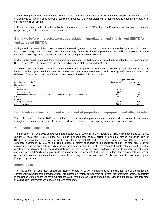The remaining variance is mainly due to normal inflation as well as to higher expenses needed to support our organic growth. We continue to favour a tight control of our costs throughout the organization while making sure to maintain the quality of service we offer our clients.

In Europe, expense level is still affected by the optimization of our new ERP system. Our IT costs should continue to decrease progressively over the course of the next quarters.

### **Earnings before interests, taxes, depreciation, amortization and impairment (EBITDA) and adjusted EBITDA**

During the first quarter of fiscal 2015, EBITDA increased by 9.9% compared to the same quarter last year, reaching \$496.7 million. Net of acquisition costs recorded to earnings, acquisitions contributed approximately \$8.0 million to EBITDA, while the variation in exchange rates had a net negative impact of approximately \$4.0 million.

Excluding the negative goodwill from both comparable periods, the first quarter of fiscal 2015 adjusted EBITDA increased by \$85.7 million or 20.9% compared to the corresponding period of the previous fiscal year.

It should be noted that EBITDA and adjusted EBITDA are not performance measures defined by IFRS, but we, as well as investors and analysts, use these measures to evaluate the Corporation's financial and operating performance. Note that our definition of these measures may differ from the one used by other public corporations:

|                                                                                      | 12-week period ended |               |  |  |
|--------------------------------------------------------------------------------------|----------------------|---------------|--|--|
| (in millions of US dollars)                                                          | July 20, 2014        | July 21, 2013 |  |  |
| Net earnings, as reported                                                            | 269.5                | 255.0         |  |  |
| Add:                                                                                 |                      |               |  |  |
| Income taxes                                                                         | 70.5                 | 59.5          |  |  |
| Net financial expenses                                                               | 30.0                 | 11.7          |  |  |
| Depreciation, amortization and impairment of property and equipment and other assets | 126.7                | 125.9         |  |  |
| <b>EBITDA</b>                                                                        | 496.7                | 452.1         |  |  |
| Remove:                                                                              |                      |               |  |  |
| Negative goodwill                                                                    | (0.5)                | (41.6)        |  |  |
| Adjusted EBITDA                                                                      | 496.2                | 410.5         |  |  |

### **Depreciation, amortization and impairment of property and equipment and other assets**

For the first quarter of fiscal 2015, depreciation, amortization and impairment expense increased due to investments made through acquisitions, replacement of equipment, addition of new stores and ongoing improvement of our network.

### **Net financial expenses**

The first quarter of fiscal 2015 shows net financial expenses of \$30.0 million, an increase of \$18.3 million compared to the first quarter of fiscal 2014. Excluding the net foreign exchange loss of \$8.7 million and the net foreign exchange gain of \$13.2 million recorded respectively in the first quarter of fiscal 2015 and in the first quarter of fiscal 2014, net financial expenses decreased by \$3.6 million. The decrease is mainly attributable to the reduction of our long-term debt following repayments made on our revolving and acquisition facilities partly offset by a higher average effective interest rate as well as by the accelerated amortization of our financing fees following the repayment of our acquisition facility ahead of its maturity. The net foreign exchange loss of \$8.7 million is mainly due to the impact of the exchange rate fluctuations on certain inter-company balances and on our external long term debt as well as to the impact of exchange rates fluctuations on US dollars denominated sales made by our European operations.

### **Income taxes**

The first quarter of fiscal 2015 shows an income tax rate of 20.7%, compared to an income tax rate of 18.9% for the corresponding quarter of the previous year. This increase is mainly derived from our overall higher taxable income, especially in the United States where we have our highest statutory tax rate as well as from the decrease in our financial fees following the significant repayments we made on our long-term debt.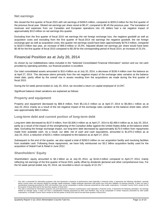### **Net earnings**

We closed the first quarter of fiscal 2015 with net earnings of \$269.5 million, compared to \$255.0 million for the first quarter of the previous fiscal year. Diluted net earnings per share stood at \$0.47, compared to \$0.45 the previous year. The translation of revenues and expenses from our Canadian and European operations into US dollars had a net negative impact of approximately \$3.0 million on net earnings this quarter.

Excluding from the first quarter of fiscal 2015 net earnings the net foreign exchange loss, the negative goodwill as well as acquisition costs and excluding from the first quarter of fiscal 2014 net earnings the negative goodwill, the net foreign exchange gain as well as acquisition costs, this quarter net earnings would have been approximately \$276.0 million, compared to \$220.0 million last year, an increase of \$56.0 million or 25.5%. Adjusted diluted net earnings per share would have been \$0.48 for the first quarter of fiscal 2015 compared to \$0.39 for the corresponding period of fiscal 2014, an increase of 23.1%.

## **Financial Position as at July 20, 2014**

As shown by our indebtedness ratios included in the "Selected Consolidated Financial Information" section and our net cash provided by operating activities, our financial position is excellent.

Our total consolidated assets amounted to \$10.4 billion as at July 20, 2014, a decrease of \$106.4 million over the balance as at April 27, 2014. This decrease stems primarily from the net negative impact of the exchange rates variation at the balance sheet date, partly offset by the overall rise in assets resulting from the acquisitions we made during the first quarter of fiscal 2015.

During the 52-week period ended on July 20, 2014, we recorded a return on capital employed of 14.0%<sup>1</sup>.

Significant balance sheet variations are explained as follows:

### **Property and equipment**

Property and equipment decreased by \$66.9 million, from \$5,131.0 million as at April 27, 2014 to \$5,064.1 million as at July 20, 2014, mainly as a result of the net negative impact of the exchange rates variation at the balance sheet date, which was approximately \$66.0 million.

### **Long-term debt and current portion of long-term debt**

Long-term debt decreased by \$137.0 million, from \$2,606.4 million as at April 27, 2014 to \$2,469.4 million as at July 20, 2014, partly as a result of the impact of the strengthening of the Canadian dollar against the United States dollar at the balance sheet date. Excluding the foreign exchange impact, our long-term debt decreased by approximately \$170.0 million from repayments made from available cash. As a result, our debt, net of cash and cash equivalents, amounted to \$1,870.2 million as at July 20, 2014, a reduction of \$225.1 million compared to the balance as at April 27, 2014.

Subsequent to the end of the quarter, we also repaid a total of \$260.0 million on our acquisition facility and revolving facilities from available cash. Following these repayments, we have fully reimbursed our \$3.2 billion acquisition facility used for the acquisition of Statoil Fuel & Retail in June 2012.

### **Shareholders' Equity**

 $\overline{a}$ 

Shareholders' equity amounted to \$4.1 billion as at July 20, 2014, up \$144.4 million compared to April 27, 2014, mainly reflecting net earnings of the first quarter of fiscal 2015, partly offset by dividends declared and other comprehensive loss. For the 52-week period ended July 20, 2014, we recorded a return on equity of 22.1%  $^{2}$ .

<sup>1</sup> This ratio is presented for information purposes only and represents a measure of performance used especially in financial circles. It represents the following calculation: earnings before income taxes and interests divided by average capital employed. Capital employed represents total assets less short-tem liabilities not bearing interests. It does not have a<br>standardized meaning prescribed by IFRS a first quarter of fiscal 2015 and for the last three quarters of fiscal 2014.

<sup>2</sup> This ratio is presented for information purposes only and represents a measure of performance used especially in financial circles. It represents the following calculation: net earnings<br>divided by average equity. It does n corporations. It includes Couche-Tard's results for the first quarter of fiscal 2015 and for the last three quarters of fiscal 2014.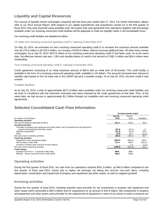# **Liquidity and Capital Resources**

Our sources of liquidity remain unchanged compared with the fiscal year ended April 27, 2014. For further information, please refer to our 2014 Annual Report. With respect to our capital expenditures and acquisitions carried out in the first quarter of fiscal 2015, they were financed using available cash. We expect that cash generated from operations together with borrowings available under our revolving unsecured credit facilities will be adequate to meet our liquidity needs in the foreseeable future.

Our revolving credit facilities are detailed as follow:

*US dollar term revolving unsecured operating credit D, maturing in December 2017*

On May 16, 2014, we amended our term revolving unsecured operating credit D to increase the maximum amount available from \$1,275.0 million to \$1,525.0 million, an increase of \$250.0 million, without incurring additional fees. All other terms remain unchanged. As at July 20, 2014, \$973.5 million of our revolving unsecured operating credit D had been used. As at the same date, the effective interest rate was 1.19% and standby letters of credit in the amount of CA\$1.3 million and \$29.4 million were outstanding.

#### *Term revolving unsecured operating credit E, maturing in December 2016*

Credit agreement consisting of an initial maximum amount of \$50.0 with an initial term of 50 months. The credit facility is available in the form of a revolving unsecured operating credit, available in US dollars. The amounts borrowed bear interest at variable rates based on the US base rate or the LIBOR rate plus a variable margin. As at July 20, 2014, the term credit E was unused.

#### *Available liquidities*

As at July 20, 2014, a total of approximately \$571.0 million were available under our revolving unsecured credit facilities and we were in compliance with the restrictive covenants and ratios imposed by the credit agreements at that date. Thus, at the same date, we had access to approximately \$1.2 billion through our available cash and revolving unsecured operating credit agreements.

# **Selected Consolidated Cash Flow Information**

|                                                                                           | 12-week periods ended   |                  |           |
|-------------------------------------------------------------------------------------------|-------------------------|------------------|-----------|
| (In millions of US dollars)                                                               | <b>July 20.</b><br>2014 | July 21,<br>2013 | Variation |
| <b>Operating activities</b>                                                               |                         |                  |           |
| Net cash provided by operating activities                                                 | 351.3                   | 310.3            | 40.0      |
| <b>Investing activities</b>                                                               |                         |                  |           |
| Purchase of property and equipment and other assets, net of proceeds from the disposal of |                         |                  |           |
| property and equipment and other assets                                                   | (54.3)                  | (54.4)           | 0.1       |
| <b>Business acquisitions</b>                                                              | (31.8)                  | (91.4)           | 59.6      |
| Other                                                                                     | (0.3)                   | 20.7             | (21.0)    |
| Net cash used in investing activities                                                     | (86.4)                  | (125.1)          | 38.7      |
| <b>Financing activities</b>                                                               |                         |                  |           |
| Repayment of the acquisition facility                                                     | (360.0)                 | (603.0)          | 243.0     |
| Net increase in other debt                                                                | 175.0                   | 400.4            | (225.4)   |
| Issuance of shares upon exercise of stock-options                                         |                         | 1.2              | (1.2)     |
| Net cash used in financing activities                                                     | (185.0)                 | (201.4)          | 16.4      |
| <b>Credit ratings</b>                                                                     |                         |                  |           |
| Standard and Poor's - Corporate credit rating                                             | BBB-                    | BBB-             |           |
| Moody's - Senior unsecured notes credit rating                                            | Baa2                    | Baa3             |           |

### **Operating activities**

During the first quarter of fiscal 2015, net cash from our operations reached \$351.3 million, up \$40.0 million compared to the first quarter of fiscal year 2014, mainly due to higher net earnings not taking into account non-cash items, including depreciation, amortization and impairment of property and equipment and other assets, as well as negative goodwill.

### **Investing activities**

During the first quarter of fiscal 2015, investing activities were primarily for net investments in property and equipment and other assets which amounted to \$54.3 million and for acquisitions for an amount of \$31.8 million. Net investments in property and equipment and other assets were primarily for the replacement of equipment in some of our stores in order to enhance our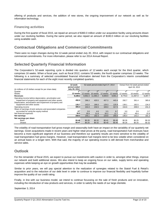offering of products and services, the addition of new stores, the ongoing improvement of our network as well as for information technology.

### **Financing activities**

During the first quarter of fiscal 2015, we repaid an amount of \$360.0 million under our acquisition facility using amounts drawn under our revolving facilities. During the same period, we also repaid an amount of \$180.0 million on our revolving facilities using available cash.

# **Contractual Obligations and Commercial Commitments**

There were no major changes during the 12-week period ended July 20, 2014, with respect to our contractual obligations and commercial commitments. For more information, please refer to our 2014 Annual Report.

## **Selected Quarterly Financial Information**

The Corporation's 52-week reporting cycle is divided into quarters of 12 weeks each except for the third quarter, which comprises 16 weeks. When a fiscal year, such as fiscal 2012, contains 53 weeks, the fourth quarter comprises 13 weeks. The following is a summary of selected consolidated financial information derived from the Corporation's interim consolidated financial statements for each of the eight most recently completed quarters.

| (In millions of US dollars except for per share data)                                                           | 12-week<br>period ended<br>July 20, 2014 | 52-week period ended April 27, 2014 |                 |          |          | Extract from 52-week period ended<br>April 28, 2013 |                 |                 |
|-----------------------------------------------------------------------------------------------------------------|------------------------------------------|-------------------------------------|-----------------|----------|----------|-----------------------------------------------------|-----------------|-----------------|
| Quarter                                                                                                         | ⊿ St                                     |                                     | $3^{\text{rd}}$ | $2^{nd}$ |          |                                                     | $3^{\text{rd}}$ | 2 <sup>nd</sup> |
| Weeks                                                                                                           | 12 weeks                                 | 12 weeks                            | 16 weeks        | 12 weeks | 12 weeks | 12 weeks                                            | 16 weeks        | 12 weeks        |
| Revenues                                                                                                        | 9,189.2                                  | 8,952.3                             | 11.093.2        | 9,009.9  | 8,901.2  | 8.776.0                                             | 11.467.0        | 9,287.7         |
| Operating income before depreciation, amortization and<br>impairment of property and equipment and other assets | 492.0                                    | 296.3                               | 420.5           | 457.3    | 443.4    | 292.7                                               | 391.4           | 365.6           |
| Depreciation, amortization and impairment of property and<br>equipment and other assets                         | 126.7                                    | 142.0                               | 186.0           | 129.3    | 125.9    | 138.1                                               | 182.5           | 134.3           |
| Operating income                                                                                                | 365.3                                    | 154.3                               | 234.5           | 328.0    | 317.5    | 154.6                                               | 208.9           | 231.3           |
| Share of earnings of joint ventures and associated companies<br>accounted for using the equity method           | 4.7                                      | 3.9                                 | 4.6             | 5.5      | 8.7      | 3.0                                                 | 3.9             | 3.7             |
| Net financial expenses                                                                                          | 30.0                                     | 26.9                                | 21.8            | 50.2     | 11.7     | 20.7                                                | 49.4            | 15.9            |
| Net earnings                                                                                                    | 269.5                                    | 145.1                               | 182.3           | 229.8    | 255.0    | 146.4                                               | 142.2           | 181.3           |
| Net earnings per share                                                                                          |                                          |                                     |                 |          |          |                                                     |                 |                 |
| Basic                                                                                                           | \$0.48                                   | \$0.26                              | \$0.32          | \$0.41   | \$0.45   | \$0.26                                              | \$0.25          | \$0.33          |
| <b>Diluted</b>                                                                                                  | \$0.47                                   | \$0.25                              | \$0.32          | \$0.40   | \$0.45   | \$0.26                                              | \$0.25          | \$0.32          |

The volatility of road transportation fuel gross margin and seasonality both have an impact on the variability of our quarterly net earnings. Given acquisitions made in recent years and higher retail prices at the pump, road transportation fuel revenues have become a more significant segment of our business and therefore our quarterly results are more sensitive to the volatility of road transportation fuel gross margins. However, road transportation fuel margins tend to be less volatile when considered on an annual basis or a longer term. With that said, the majority of our operating income is still derived from merchandise and service sales.

## **Outlook**

For the remainder of fiscal 2015, we expect to pursue our investments with caution in order to, amongst other things, improve our network and build additional stores. We also intend to keep an ongoing focus on our sales, supply terms and operating expenses while keeping an eye on growth opportunities that may be available.

Similar to prior years, we will pay special attention to the realization of synergies related to the Statoil Fuel & Retail's acquisition and to the reduction of our debt level in order to continue to improve our financial flexibility and hopefully further improve the quality of our credit rating.

Finally, in line with our business model, we intend to continue focussing on the sale of fresh products and on innovation, including the introduction of new products and services, in order to satisfy the needs of our large clientele.

September 3, 2014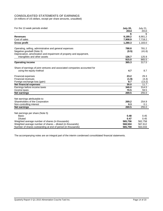### **CONSOLIDATED STATEMENTS OF EARNINGS**

(in millions of US dollars, except per share amounts, unaudited)

| For the 12-week periods ended                                              | <b>July 20,</b><br>2014 | <b>July 21,</b><br>2013 |
|----------------------------------------------------------------------------|-------------------------|-------------------------|
|                                                                            | \$                      | \$                      |
| <b>Revenues</b>                                                            | 9,189.2                 | 8,901.2                 |
| Cost of sales                                                              | 7,908.9                 | 7,718.2                 |
| <b>Gross profit</b>                                                        | 1,280.3                 | 1,183.0                 |
|                                                                            |                         |                         |
| Operating, selling, administrative and general expenses                    | 788.8                   | 781.2                   |
| Negative goodwill (Note 3)                                                 | (0.5)                   | (41.6)                  |
| Depreciation, amortization and impairment of property and equipment,       |                         |                         |
| intangibles and other assets                                               | 126.7                   | 125.9                   |
|                                                                            | 915.0                   | 865.5                   |
| <b>Operating income</b>                                                    | 365.3                   | 317.5                   |
|                                                                            |                         |                         |
| Share of earnings of joint ventures and associated companies accounted for |                         |                         |
| using the equity method                                                    | 4.7                     | 8.7                     |
|                                                                            |                         |                         |
| Financial expenses                                                         | 23.2                    | 29.3                    |
| <b>Financial revenues</b>                                                  | (1.9)                   | (4.4)                   |
| Foreign exchange loss (gain)                                               | 8.7                     | (13.2)                  |
| <b>Net financial expenses</b>                                              | 30.0                    | 11.7                    |
| Earnings before income taxes                                               | 340.0                   | 314.5                   |
| Income taxes                                                               | 70.5                    | 59.5                    |
| Net earnings                                                               | 269.5                   | 255.0                   |
|                                                                            |                         |                         |
| Net earnings attributable to:                                              |                         |                         |
| Shareholders of the Corporation                                            | 269.2                   | 254.9                   |
| Non-controlling interest                                                   | 0.3                     | 0.1                     |
| <b>Net earnings</b>                                                        | 269.5                   | 255.0                   |
|                                                                            |                         |                         |
| Net earnings per share (Note 5)                                            |                         |                         |
| Basic                                                                      | 0.48                    | 0.45                    |
| <b>Diluted</b>                                                             | 0.47                    | 0.45                    |
| Weighted average number of shares (in thousands)                           | 565,756                 | 562,758                 |
| Weighted average number of shares - diluted (in thousands)                 | 568,504                 | 567,612                 |
| Number of shares outstanding at end of period (in thousands)               | 565,759                 | 563,033                 |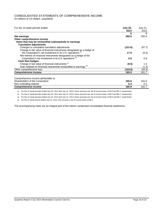### **CONSOLIDATED STATEMENTS OF COMPREHENSIVE INCOME**

(in millions of US dollars, unaudited)

| For the 12-week periods ended                                                  | <b>July 20,</b><br>2014 | <b>July 21,</b><br>2013 |
|--------------------------------------------------------------------------------|-------------------------|-------------------------|
|                                                                                |                         | \$                      |
| <b>Net earnings</b>                                                            | 269.5                   | 255.0                   |
| Other comprehensive income                                                     |                         |                         |
| Items that may be reclassified subsequently to earnings                        |                         |                         |
| <b>Translation adjustments</b>                                                 |                         |                         |
| Changes in cumulative translation adjustments                                  | (121.6)                 | (87.7)                  |
| Change in fair value of financial instruments designated as a hedge of         |                         |                         |
| the Corporation's net investment in its U.S. operations <sup>(1)</sup>         | 17.9                    | (6.5)                   |
| Net interest on financial instruments designated as a hedge of the             |                         |                         |
| Corporation's net investment in its U.S. operations <sup>(2)</sup>             | 0.6                     | 0.9                     |
| <b>Cash flow hedges</b>                                                        |                         |                         |
| Change in fair value of financial instruments <sup>(3)</sup>                   | (0.5)                   | 1.3                     |
| Gain realized on financial instruments reclassified to earnings <sup>(4)</sup> |                         | (1.3)                   |
| Other comprehensive loss                                                       | (103.6)                 | (93.3)                  |
| <b>Comprehensive income</b>                                                    | 165.9                   | 161.7                   |
|                                                                                |                         |                         |
| Comprehensive income attributable to:                                          |                         |                         |
| Shareholders of the Corporation                                                | 165.6                   | 161.6                   |
| Non-controlling interest                                                       | 0.3                     | 0.1                     |
| <b>Comprehensive income</b>                                                    | 165.9                   | 161.7                   |

(1) For the 12 week periods ended July 20, 2014 and July 21, 2013, these amounts are net of income taxes of \$4.5 and \$2.4, respectively.

(2) For the 12 week periods ended July 20, 2014 and July 21, 2013, these amounts are net of income taxes of \$0.2 and \$0.2, respectively.

(3) For the 12 week periods ended July 20, 2014 and July 21, 2013, these amounts are net of income taxes of \$0.5 and \$0.2, respectively.

(4) For the 12 week period ended July 21, 2013, this amount is net of income taxes of \$0.2.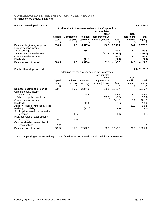### **CONSOLIDATED STATEMENTS OF CHANGES IN EQUITY**

(in millions of US dollars, unaudited)

| For the 12-week period ended                          |                  |                               |                             |                                                          |                  |                                 | <b>July 20, 2014</b> |
|-------------------------------------------------------|------------------|-------------------------------|-----------------------------|----------------------------------------------------------|------------------|---------------------------------|----------------------|
|                                                       |                  |                               |                             | Attributable to the shareholders of the Corporation      |                  |                                 |                      |
|                                                       | Capital<br>stock | <b>Contributed</b><br>surplus | <b>Retained</b><br>earnings | Accumulated<br>other<br>comprehensive<br>income (Note 6) | <b>Total</b>     | Non-<br>controlling<br>interest | Total<br>equity      |
|                                                       |                  | \$                            |                             |                                                          |                  | S                               |                      |
| Balance, beginning of period<br>Comprehensive income: | 686.5            | 11.6                          | 3,077.4                     | 186.9                                                    | 3.962.4          | 14.2                            | 3,976.6              |
| Net earnings<br>Other comprehensive loss              |                  |                               | 269.2                       | (103.6)                                                  | 269.2<br>(103.6) | 0.3                             | 269.5<br>(103.6)     |
| Comprehensive income                                  |                  |                               |                             |                                                          | 165.6            | 0.3                             | 165.9                |
| Dividends                                             |                  |                               | (21.2)                      |                                                          | (21.2)           |                                 | (21.2)               |
| Balance, end of period                                | 686.5            | 11.6                          | 3.325.4                     | 83.3                                                     | 4,106.8          | 14.5                            | 4,121.3              |

### For the 12-week period ended July 21, 2013

|                                      |         | Attributable to the shareholders of the Corporation |          |                 |         |             |         |
|--------------------------------------|---------|-----------------------------------------------------|----------|-----------------|---------|-------------|---------|
|                                      |         |                                                     |          | Accumulated     |         |             |         |
|                                      |         |                                                     |          | other           |         | Non-        |         |
|                                      | Capital | Contributed                                         | Retained | comprehensive   |         | controlling | Total   |
|                                      | stock   | surplus                                             | earnings | income (Note 6) | Total   | interest    | equity  |
|                                      | \$      | \$                                                  |          | \$              | \$      | \$          |         |
| Balance, beginning of period         | 670.4   | 16.5                                                | 2,344.0  | 185.8           | 3,216.7 |             | 3,216.7 |
| Comprehensive income:                |         |                                                     |          |                 |         |             |         |
| Net earnings                         |         |                                                     | 254.9    |                 | 254.9   | 0.1         | 255.0   |
| Other comprehensive loss             |         |                                                     |          | (93.3)          | (93.3)  |             | (93.3)  |
| Comprehensive income                 |         |                                                     |          |                 | 161.6   | 0.1         | 161.7   |
| <b>Dividends</b>                     |         |                                                     | (13.6)   |                 | (13.6)  |             | (13.6)  |
| Addition to non-controlling interest |         |                                                     |          |                 |         | 13.2        | 13.2    |
| Redemption liability                 |         |                                                     | (13.2)   |                 | (13.2)  |             | (13.2)  |
| Stock option-based compensation      |         |                                                     |          |                 |         |             |         |
| expense                              |         | (0.1)                                               |          |                 | (0.1)   |             | (0.1)   |
| Initial fair value of stock options  |         |                                                     |          |                 |         |             |         |
| exercised                            | 0.7     | (0.7)                                               |          |                 |         |             |         |
| Cash received upon exercise of       |         |                                                     |          |                 |         |             |         |
| stock options                        | 1.2     |                                                     |          |                 | 1.2     |             | 1.2     |
| Balance, end of period               | 672.3   | 15.7                                                | 2,572.1  | 92.5            | 3,352.6 | 13.3        | 3,365.9 |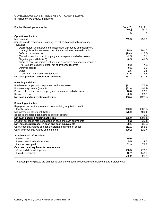### **CONSOLIDATED STATEMENTS OF CASH FLOWS**

(in millions of US dollars, unaudited)

| For the 12-week periods ended                                                                        | <b>July 20,</b><br>2014 | <b>July 21,</b><br>2013 |
|------------------------------------------------------------------------------------------------------|-------------------------|-------------------------|
|                                                                                                      | \$                      | \$                      |
| <b>Operating activities</b>                                                                          |                         |                         |
| Net earnings                                                                                         | 269.5                   | 255.0                   |
| Adjustments to reconcile net earnings to net cash provided by operating                              |                         |                         |
| activities                                                                                           |                         |                         |
| Depreciation, amortization and impairment of property and equipment,                                 |                         |                         |
| intangible and other assets, net of amortization of deferred credits<br>Deferred income taxes        | 99.9                    | 101.7                   |
|                                                                                                      | (29.9)                  | (18.6)                  |
| (Gain) loss on disposal of property and equipment and other assets                                   | (2.5)                   | 0.1                     |
| Negative goodwill (Note 3)<br>Share of earnings of joint ventures and associated companies accounted | (0.5)                   | (41.6)                  |
| for using the equity method, net of dividends received                                               | (0.3)                   | (7.8)                   |
| Deferred credits                                                                                     | 0.1                     | 6.9                     |
| Other                                                                                                | 2.5                     | 1.4                     |
| Changes in non-cash working capital                                                                  | 12.5                    | 13.2                    |
| Net cash provided by operating activities                                                            | 351.3                   | 310.3                   |
|                                                                                                      |                         |                         |
| <b>Investing activities</b>                                                                          |                         |                         |
| Purchase of property and equipment and other assets                                                  | (71.1)                  | (77.9)                  |
| Business acquisitions (Note 3)                                                                       | (31.8)                  | (91.4)                  |
| Proceeds from disposal of property and equipment and other assets                                    | 16.8                    | 23.5                    |
| Restricted cash                                                                                      | (0.3)                   | 20.7                    |
| Net cash used in investing activities                                                                | (86.4)                  | (125.1)                 |
| <b>Financing activities</b>                                                                          |                         |                         |
| Repayment under the unsecured non-revolving acquisition credit                                       |                         |                         |
| facility (Note 4)                                                                                    | (360.0)                 | (603.0)                 |
| Net increase in other debt (Note 4)                                                                  | 175.0                   | 400.4                   |
| Issuance of shares upon exercise of stock-options                                                    |                         | 1.2                     |
| Net cash used in financing activities                                                                | (185.0)                 | (201.4)                 |
| Effect of exchange rate fluctuations on cash and cash equivalents                                    | 8.2                     | (20.4)                  |
| Net increase (decrease) in cash and cash equivalents                                                 | 88.1                    | (36.6)                  |
| Cash, cash equivalents and bank overdraft, beginning of period                                       | 511.1                   | 658.3                   |
| Cash and cash equivalents end of period                                                              | 599.2                   | 621.7                   |
| <b>Supplemental information:</b>                                                                     |                         |                         |
| Interest paid                                                                                        | 19.0                    | 30.7                    |
| Interest and dividends received                                                                      | 5.5                     | 4.5                     |
| Income taxes paid                                                                                    | 52.9                    | 78.8                    |
| Cash and cash equivalents components:                                                                |                         |                         |
| Cash and demand deposits                                                                             | 588.5                   | 473.6                   |
| Liquid investments                                                                                   | 10.7                    | 148.1                   |
|                                                                                                      | 599.2                   | 621.7                   |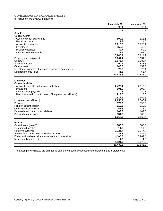### **CONSOLIDATED BALANCE SHEETS**

(in millions of US dollars, unaudited)

|                                                           | As at July 20, | As at April 27, |
|-----------------------------------------------------------|----------------|-----------------|
|                                                           | 2014           | 2014            |
|                                                           | \$             | \$              |
| <b>Assets</b>                                             |                |                 |
| <b>Current assets</b>                                     |                |                 |
| Cash and cash equivalents                                 | 599.2          | 511.1           |
| Restricted cash                                           | 1.3            | 1.0             |
| Accounts receivable                                       | 1,716.8        | 1,726.4         |
| Inventories                                               | 855.3          | 848.0           |
| Prepaid expenses                                          | 49.7           | 60.0            |
| Income taxes receivable                                   | 22.9           | 68.4            |
|                                                           | 3,245.2        | 3,214.9         |
| Property and equipment                                    | 5,064.1        | 5,131.0         |
| Goodwill                                                  | 1,075.4        | 1,088.7         |
| Intangible assets                                         | 790.2          | 823.5           |
| Other assets                                              | 146.6          | 159.8           |
| Investment in joint ventures and associated companies     | 75.5           | 75.4            |
| Deferred income taxes                                     | 41.6           | 51.7            |
|                                                           | 10,438.6       | 10,545.0        |
|                                                           |                |                 |
| Liabilities                                               |                |                 |
| <b>Current liabilities</b>                                |                |                 |
| Accounts payable and accrued liabilities                  | 2,473.4        | 2,510.3         |
| Provisions                                                | 101.0          | 102.4           |
| Income taxes payable                                      | 30.3           | 29.8            |
| Bank loans and current portion of long-term debt (Note 4) | 212.5          | 20.3            |
|                                                           | 2,817.2        | 2,662.8         |
| Long-term debt (Note 4)                                   | 2,256.9        | 2,586.1         |
| Provisions                                                | 377.3          | 390.5           |
| Pension benefit liability                                 | 119.6          | 119.8           |
| Other financial liabilities                               | 51.5           | 73.9            |
| Deferred credits and other liabilities                    | 163.3          | 169.5           |
| Deferred income taxes                                     | 531.5          | 565.8           |
|                                                           | 6,317.3        | 6.568.4         |
|                                                           |                |                 |
| <b>Equity</b>                                             | 686.5          | 686.5           |
| Capital stock (Note 7)                                    |                |                 |
| Contributed surplus                                       | 11.6           | 11.6            |
| Retained earnings                                         | 3,325.4        | 3,077.4         |
| Accumulated other comprehensive income                    | 83.3           | 186.9           |
| Equity attributable to shareholders of the Corporation    | 4,106.8        | 3,962.4         |
| Non-controlling interest                                  | 14.5           | 14.2            |
|                                                           | 4,121.3        | 3,976.6         |
|                                                           | 10,438.6       | 10.545.0        |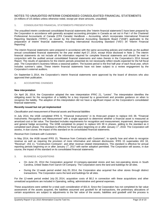**NOTES TO UNAUDITED INTERIM CONDENSED CONSOLIDATED FINANCIAL STATEMENTS** (in millions of US dollars unless otherwise noted, except per share amounts, unaudited)

### **1. CONSOLIDATED FINANCIAL STATEMENTS PRESENTATION**

The unaudited interim condensed consolidated financial statements (the "interim financial statements") have been prepared by the Corporation in accordance with generally accepted accounting principles in Canada as set out in Part I of the Chartered Professional Accountants of Canada (CPA Canada) Handbook – Accounting, which incorporates International Financial Reporting Standards ("IFRS"), as issued by the International Accounting Standards Board ("IASB") applicable to the preparation of interim financial statements, including International Accounting Standard ("IAS") 34 "Interim Financial Reporting".

The interim financial statements were prepared in accordance with the same accounting policies and methods as the audited annual consolidated financial statements for the year ended April 27, 2014, except those disclosed in Note 2. The interim financial statements do not include all the information required for complete financial statements and should be read in conjunction with the audited annual consolidated financial statements and notes thereto in the Corporation's 2014 Annual Report. The results of operations for the interim periods presented do not necessarily reflect results expected for the full fiscal year. The Corporation's business follows a seasonal pattern. The busiest period is the first half-year of each fiscal year, which includes summer's sales. These interim financial statements have not been subject to a review engagement by the Corporation's external auditors.

On September 3, 2014, the Corporation's interim financial statements were approved by the board of directors who also approved their publication.

#### **2. ACCOUNTING CHANGES**

#### **New interpretation**

On April 28, 2014, the Corporation adopted the new interpretation IFRIC 21, "Levies". The interpretation identifies the obligating event for the recognition of a liability for a levy imposed by a government and provides guidance on when to recognize the liability. The adoption of this interpretation did not have a significant impact on the Corporation's consolidated financial statements.

### **Recently issued but not yet implemented**

#### *Classification and measurement of financial assets and financial liabilities*

In July 2014, the IASB completed IFRS 9, "Financial Instruments" in its three-part project to replace IAS 39, "Financial Instruments: Recognition and Measurement" with a single approach to determine whether a financial asset is measured at amortized cost or fair value. The Standard includes requirements for recognition and measurement, impairment, derecognition and general hedge accounting. The IASB completed its project to replace IAS 39 in phases, adding to the standard as it completed each phase. The standard is effective for fiscal years beginning on or after January 1<sup>st</sup>, 2018. The Corporation will assess, in due course, the impact of this standard on its consolidated financial statements.

#### *Revenue from Contracts with Customers*

In May 2014, the IASB issued IFRS 15, "Revenue from Contracts with Customers", to specify how and when to recognize revenue as well as requiring the provision of more informative and relevant disclosures. IFRS 15 supersedes IAS 18, "Revenue", IAS 11, "Construction Contracts", and other revenue related interpretations. This standard is effective for annual reporting periods beginning on or after January 1<sup>st</sup>, 2017 with earlier adoption permitted. The Corporation will assess, in due course, the impact of this standard on its consolidated financial statements.

#### **3. BUSINESS ACQUISITIONS**

- On June 23, 2014 the Corporation acquired 13 company-operated stores and two non-operating stores in South Carolina, United States from Garvin Oil Company. The Corporation owns the land and buildings for all sites.
- During the 12-week period ended July 20, 2014, the Corporation also acquired five other stores through distinct transactions. The Corporation owns the land and buildings for all sites.

For the 12-week period ended July 20, 2014, acquisition costs of \$0.2 in connection with these acquisitions and other unrealized acquisitions are included in Operating, selling, administrative and general expenses.

These acquisitions were settled for a total cash consideration of \$31.8. Since the Corporation has not completed its fair value assessment of the assets acquired, the liabilities assumed and goodwill for all transactions, the preliminary allocations of certain acquisitions are subject to adjustments to the fair value of the assets, liabilities and goodwill until the process is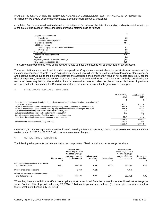### **NOTES TO UNAUDITED INTERIM CONDENSED CONSOLIDATED FINANCIAL STATEMENTS** (in millions of US dollars unless otherwise noted, except per share amounts, unaudited)

completed. Purchase price allocations based on the estimated fair value on the date of acquisition and available information as at the date of publication of these consolidated financial statements is as follows:

|                                          | \$    |
|------------------------------------------|-------|
| Tangible assets acquired                 |       |
| Inventories                              | 1.6   |
| Property and equipment                   | 30.8  |
| Total tangible assets                    | 32.4  |
| Liabilities assumed                      |       |
| Accounts payable and accrued liabilities | 0.2   |
| Provisions                               | 0.3   |
| <b>Total liabilities</b>                 | 0.5   |
| Net tangible assets acquired             | 31.9  |
| Goodwill                                 | 0.4   |
| Negative goodwill recorded to earnings   | (0.5) |
| Total cash consideration paid            | 31.8  |

The Corporation expects that none of the goodwill related to these transactions will be deductible for tax purposes.

These acquisitions were concluded in order to expand the Corporation's market share, to penetrate new markets and to increase its economies of scale. These acquisitions generated goodwill mainly due to the strategic location of stores acquired and negative goodwill due to the difference between the acquisition price and the fair value of net assets acquired. Since the date of acquisition, revenues and net earnings from these stores amounted to \$10.1 and \$0.3, respectively. Considering the nature of these acquisitions, the available financial information does not allow for the accurate disclosure of pro-forma revenues and net earnings had the Corporation concluded these acquisitions at the beginning of its fiscal year.

#### **4. BANK LOANS AND LONG-TERM DEBT**

|                                                                                                  | As at July 20,<br>2014 | As at April 27.<br>2014 |
|--------------------------------------------------------------------------------------------------|------------------------|-------------------------|
|                                                                                                  |                        |                         |
| Canadian dollar denominated senior unsecured notes maturing on various dates from November 2017  |                        |                         |
| to November 2022                                                                                 | 1.205.7                | 1.172.7                 |
| US dollar denominated term revolving unsecured operating credit D, maturing in December 2017     | 973.5                  | 793.5                   |
| US dollar denominated unsecured non-revolving acquisition credit facility, maturing in June 2015 | 195.0                  | 552.3                   |
| NOK denominated floating rate bonds, maturing in February 2017                                   | 2.4                    | 2.5                     |
| NOK denominated fixed rate bonds, maturing in February 2019                                      | 2.1                    | 2.2                     |
| Borrowings under bank overdraft facilities, maturing at various dates                            |                        | 1.8                     |
| Other debts, including finance leases, maturing at various dates                                 | 90.7                   | 81.4                    |
|                                                                                                  | 2.469.4                | 2.606.4                 |
| Bank loans and current portion of long-term debt                                                 | 212.5                  | 20.3                    |
|                                                                                                  | 2,256.9                | 2.586.1                 |

On May 16, 2014, the Corporation amended its term revolving unsecured operating credit D to increase the maximum amount available from \$1,275.0 to \$1,525.0. All other terms remain unchanged.

### **5. NET EARNINGS PER SHARE**

The following table presents the information for the computation of basic and diluted net earnings per share:

|                                                                  |                                                                                                            | 12-week period<br>ended July 20, 2014 |        | 12-week period<br>ended July 21, 2013 |                                                        |                           |  |
|------------------------------------------------------------------|------------------------------------------------------------------------------------------------------------|---------------------------------------|--------|---------------------------------------|--------------------------------------------------------|---------------------------|--|
|                                                                  | <b>Weighted average</b><br>number of shares<br>Net earnings<br>Net earnings<br>(in thousands)<br>per share |                                       |        | Net earnings                          | Weighted average<br>number of shares<br>(in thousands) | Net earnings<br>per share |  |
|                                                                  |                                                                                                            |                                       |        |                                       |                                                        |                           |  |
| Basic net earnings attributable to Class A<br>and B shareholders | 269.2                                                                                                      | 565.756                               | 0.48   | 254.9                                 | 562.758                                                | 0.45                      |  |
| Dilutive effect of stock options                                 |                                                                                                            | 2.748                                 | (0.01) |                                       | 4.854                                                  |                           |  |
| Diluted net earnings available for Class A<br>and B shareholders | 269.2                                                                                                      | 568.504                               | 0.47   | 254.9                                 | 567.612                                                | 0.45                      |  |

When they have an anti-dilutive effect, stock options must be excluded from the calculation of the diluted net earnings per share. For the 12-week period ended July 20, 2014 18,144 stock options were excluded (no stock options were excluded for the 12-week period ended July 21, 2013).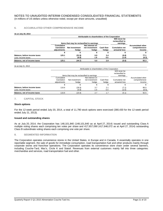### **6. ACCUMULATED OTHER COMPREHENSIVE INCOME**

#### **As at July 20, 2014**

|                                                    |                                          | Attributable to shareholders of the Corporation                                            |                                            |                           |                                         |                                                     |  |  |  |
|----------------------------------------------------|------------------------------------------|--------------------------------------------------------------------------------------------|--------------------------------------------|---------------------------|-----------------------------------------|-----------------------------------------------------|--|--|--|
|                                                    |                                          | Will never be<br>reclassified to<br>Items that may be reclassified to earnings<br>earnings |                                            |                           |                                         |                                                     |  |  |  |
|                                                    | Cumulative<br>translation<br>adjustments | Net investment<br>hedge                                                                    | Net interest on<br>net investment<br>hedge | <b>Cash flow</b><br>hedae | <b>Cumulative net</b><br>actuarial loss | <b>Accumulated other</b><br>comprehensive<br>income |  |  |  |
|                                                    |                                          |                                                                                            |                                            |                           |                                         |                                                     |  |  |  |
| Balance, before income taxes<br>Less: Income taxes | 125.1                                    | (51.5)<br>(6.8)                                                                            | 6.9<br>1.9                                 | 3.4<br>0.5                | (6.8)<br>(1.8)                          | 77.1<br>(6.2)                                       |  |  |  |
| Balance, net of income taxes                       | 125.1                                    | (44.7)                                                                                     | 5.0                                        | 2.9                       | (5.0)                                   | 83.3                                                |  |  |  |

#### As at July 21, 2013

|                                                    |                                          | Attributable to shareholders of the Corporation                                            |                                            |                                  |                                              |               |  |  |  |
|----------------------------------------------------|------------------------------------------|--------------------------------------------------------------------------------------------|--------------------------------------------|----------------------------------|----------------------------------------------|---------------|--|--|--|
|                                                    |                                          | Will never be<br>reclassified to<br>Items that may be reclassified to earnings<br>earnings |                                            |                                  |                                              |               |  |  |  |
|                                                    | Cumulative<br>translation<br>adiustments | Net investment<br>hedae                                                                    | Net interest on<br>net investment<br>hedge | Cumulative net<br>actuarial loss | Accumulated other<br>comprehensive<br>income |               |  |  |  |
|                                                    |                                          |                                                                                            |                                            |                                  |                                              |               |  |  |  |
| Balance, before income taxes<br>Less: Income taxes | 116.6                                    | (29.3)<br>(5.9)                                                                            | 3.7<br>1.0                                 | 2.1<br>0.4                       | (7.1)<br>(2.0)                               | 86.0<br>(6.5) |  |  |  |
| Balance, net of income taxes                       | 116.6                                    | (23.4)                                                                                     | 2.7                                        |                                  | (5.1)                                        | 92.5          |  |  |  |

#### **7. CAPITAL STOCK**

#### **Stock options**

For the 12-week period ended July 20, 2014, a total of 11,790 stock options were exercised (380,430 for the 12-week period ended July 21, 2013).

#### **Issued and outstanding shares**

As at July 20, 2014, the Corporation has 148,101,840 (148,101,840 as at April 27, 2014) issued and outstanding Class A multiple voting shares each comprising ten votes per share and 417,657,090 (417,646,072 as at April 27, 2014) outstanding Class B subordinate voting shares each comprising one vote per share.

#### **8. SEGMENTED INFORMATION**

The Corporation operates convenience stores in the United States, in Europe and in Canada. It essentially operates in one reportable segment, the sale of goods for immediate consumption, road transportation fuel and other products mainly through corporate stores and franchise operations. The Corporation operates its convenience store chain under several banners, including Couche-Tard, Mac's, Circle K and Statoil. Revenues from external customers mainly fall into three categories: merchandise and services, road transportation fuel and other.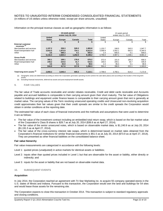|                                                     | 12-week period<br>ended July 20, 2014 |               |         |              | 12-week period<br>ended July 21, 2013 |         |         |         |
|-----------------------------------------------------|---------------------------------------|---------------|---------|--------------|---------------------------------------|---------|---------|---------|
|                                                     | <b>United</b>                         |               |         |              | United                                |         |         |         |
|                                                     | <b>States</b>                         | <b>Europe</b> | Canada  | <b>Total</b> | <b>States</b>                         | Europe  | Canada  | Total   |
|                                                     |                                       |               |         |              | \$                                    | \$      | \$      | \$      |
| <b>External customer</b><br>revenues <sup>(a)</sup> |                                       |               |         |              |                                       |         |         |         |
| Merchandise and services                            | 1.197.2                               | 258.3         | 528.3   | 1,983.8      | 1.153.7                               | 248.5   | 545.5   | 1.947.7 |
| Road transportation fuel                            | 3.915.5                               | 1,972.8       | 724.1   | 6.612.4      | 3.599.9                               | 2.052.1 | 692.5   | 6,344.5 |
| Other                                               | 3.6                                   | 589.3         | 0.1     | 593.0        | 2.4                                   | 606.5   | 0.1     | 609.0   |
|                                                     | 5,116.3                               | 2,820.4       | 1,252.5 | 9,189.2      | 4,756.0                               | 2,907.1 | 1,238.1 | 8,901.2 |
| <b>Gross Profit</b>                                 |                                       |               |         |              |                                       |         |         |         |
| Merchandise and services                            | 392.1                                 | 108.1         | 176.0   | 676.2        | 372.0                                 | 101.0   | 185.3   | 658.3   |
| Road transportation fuel                            | 249.2                                 | 224.6         | 41.7    | 515.5        | 190.0                                 | 209.1   | 36.7    | 435.8   |
| Other                                               | 3.6                                   | 84.9          | 0.1     | 88.6         | 2.4                                   | 86.4    | 0.1     | 88.9    |
|                                                     | 644.9                                 | 417.6         | 217.8   | 1.280.3      | 564.4                                 | 396.5   | 222.1   | 1,183.0 |
|                                                     |                                       |               |         |              |                                       |         |         |         |
| Total long-term assets <sup>(b)</sup>               | 2.858.2                               | 3.646.4       | 605.5   | 7,110.1      | 2.798.6                               | 3.760.1 | 614.2   | 7.172.9 |

Information on the principal revenue classes as well as geographic information is as follows:

(a) Geographic areas are determined according to where the Corporation generates operating income (where the sale takes place) and according to the location of the long-term assets.

(b) Excluding financial instruments, deferred tax assets and post-employment benefit assets.

#### **9. FAIR VALUES**

The fair value of Trade accounts receivable and vendor rebates receivable, Credit and debit cards receivable and Accounts payable and accrued liabilities is comparable to their carrying amount given their short maturity. The fair value of Obligations related to buildings and equipment under finance leases is comparable to their carrying amount given that rent is generally at market value. The carrying values of the Term revolving unsecured operating credits and Unsecured non-revolving acquisition credit approximates their fair values given that their credit spreads are similar to the credit spreads the Corporation would obtain in similar conditions at the reporting date.

The estimated fair value of each class of financial instruments and the methods and assumptions that were used to determine it are as follows:

- The fair value of the investment contract including an embedded total return swap, which is based on the fair market value of the Corporation's Class B shares is \$28.7 as at July 20, 2014 (\$36.6 as at April 27, 2014);
- The fair value of the senior unsecured notes, which is based on observable market data, is \$1,240.9 as at July 20, 2014 (\$1,191.5 as at April 27, 2014);
- The fair value of the cross-currency interest rate swaps, which is determined based on market rates obtained from the Corporation's financial institutions for similar financial instruments is \$51.5 as at July 20, 2014 (\$73.9 as at April 27, 2014). They are presented as other financial liabilities on the consolidated balance sheet.

#### **Fair value hierarchy**

Fair value measurements are categorized in accordance with the following levels:

Level 1: quoted prices (unadjusted) in active markets for identical assets or liabilities;

Level 2: inputs other than quoted prices included in Level 1 but that are observable for the asset or liability, either directly or indirectly; and

Level 3: inputs for the asset or liability that are not based on observable market data.

#### **10. SUBSEQUENT EVENTS**

#### **Acquisition**

In July 2014, the Corporation reached an agreement with Tri Star Marketing inc. to acquire 55 company operated-stores in the U.S. states of Illinois and Indiana. Pursuant to this transaction, the Corporation would own the land and buildings for 54 sites and would lease those assets for the remaining site.

The Corporation expects to close this transaction in October 2014. This transaction is subject to standard regulatory approvals and closing conditions.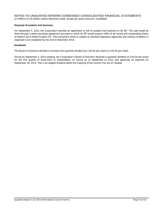#### **NOTES TO UNAUDITED INTERIM CONDENSED CONSOLIDATED FINANCIAL STATEMENTS** (in millions of US dollars unless otherwise noted, except per share amounts, unaudited)

### **Disposal of aviation fuel business**

On September 3, 2014, the Corporation reached an agreement to sell its aviation fuel business to Air BP. The sale would be done through a share purchase agreement pursuant to which Air BP would acquire 100% of all issued and outstanding shares of Statoil Fuel & Retail Aviation AS. This transaction which is subject to standard regulatory approvals and closing conditions is expected to be completed by the end of December 2014.

### **Dividends**

The Board of Directors decided to increase the quarterly dividend by CA0.5¢ per share to CA4.5¢ per share.

During its September 3, 2014 meeting, the Corporation's Board of Directors declared a quarterly dividend of CA4.5¢ per share for the first quarter of fiscal 2015 to shareholders on record as at September 12, 2014 and approved its payment for September 26, 2014. This is an eligible dividend within the meaning of the Income Tax Act of Canada.